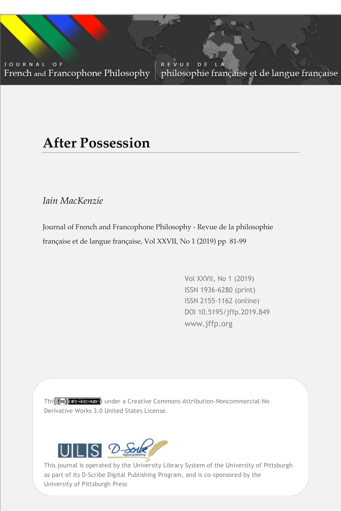JOURNAL OF French and Francophone Philosophy

REVUE D E philosophie française et de langue française

# **After Possession**

*Iain MacKenzie*

Journal of French and Francophone Philosophy - Revue de la philosophie française et de langue française, Vol XXVII, No 1 (2019) pp 81-99

> Vol XXVII, No 1 (2019) ISSN 1936-6280 (print) ISSN 2155-1162 (online) DOI 10.5195/jffp.2019.849 www.jffp.org

Vol XXVII, No 1 (2019) | www.jffp.org | DOI 10.5195/jffp.2019.849

This colleis licenced under a Creative Commons Attribution-Noncommercial-No Derivative Works 3.0 United States License.



University of Pittsburgh Press This journal is operated by the University Library System of the University of Pittsburgh as part of its D-Scribe Digital Publishing Program, and is co-sponsored by the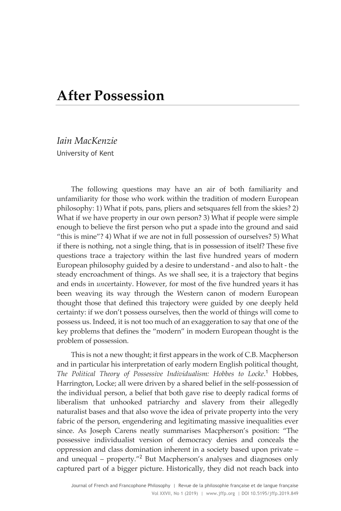## **After Possession**

*Iain MacKenzie* University of Kent

The following questions may have an air of both familiarity and unfamiliarity for those who work within the tradition of modern European philosophy: 1) What if pots, pans, pliers and setsquares fell from the skies? 2) What if we have property in our own person? 3) What if people were simple enough to believe the first person who put a spade into the ground and said "this is mine"? 4) What if we are not in full possession of ourselves? 5) What if there is nothing, not a single thing, that is in possession of itself? These five questions trace a trajectory within the last five hundred years of modern European philosophy guided by a desire to understand - and also to halt - the steady encroachment of things. As we shall see, it is a trajectory that begins and ends in *un*certainty. However, for most of the five hundred years it has been weaving its way through the Western canon of modern European thought those that defined this trajectory were guided by one deeply held certainty: if we don't possess ourselves, then the world of things will come to possess us. Indeed, it is not too much of an exaggeration to say that one of the key problems that defines the "modern" in modern European thought is the problem of possession.

This is not a new thought; it first appears in the work of C.B. Macpherson and in particular his interpretation of early modern English political thought, *The Political Theory of Possessive Individualism: Hobbes to Locke*. <sup>1</sup> Hobbes, Harrington, Locke; all were driven by a shared belief in the self-possession of the individual person, a belief that both gave rise to deeply radical forms of liberalism that unhooked patriarchy and slavery from their allegedly naturalist bases and that also wove the idea of private property into the very fabric of the person, engendering and legitimating massive inequalities ever since. As Joseph Carens neatly summarises Macpherson's position: "The possessive individualist version of democracy denies and conceals the oppression and class domination inherent in a society based upon private – and unequal – property. $v^2$  But Macpherson's analyses and diagnoses only captured part of a bigger picture. Historically, they did not reach back into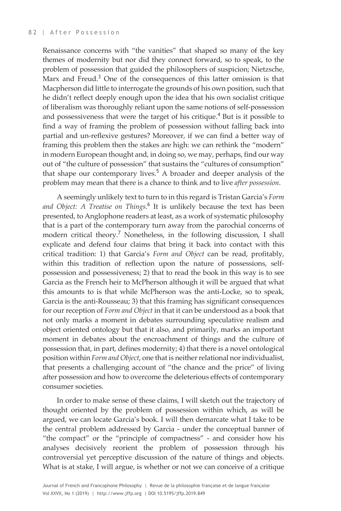Renaissance concerns with "the vanities" that shaped so many of the key themes of modernity but nor did they connect forward, so to speak, to the problem of possession that guided the philosophers of suspicion; Nietzsche, Marx and Freud.<sup>3</sup> One of the consequences of this latter omission is that Macpherson did little to interrogate the grounds of his own position, such that he didn't reflect deeply enough upon the idea that his own socialist critique of liberalism was thoroughly reliant upon the same notions of self-possession and possessiveness that were the target of his critique.<sup>4</sup> But is it possible to find a way of framing the problem of possession without falling back into partial and un-reflexive gestures? Moreover, if we can find a better way of framing this problem then the stakes are high: we can rethink the "modern" in modern European thought and, in doing so, we may, perhaps, find our way out of "the culture of possession" that sustains the "cultures of consumption" that shape our contemporary lives.<sup>5</sup> A broader and deeper analysis of the problem may mean that there is a chance to think and to live *after possession*.

A seemingly unlikely text to turn to in this regard is Tristan Garcia's *Form and Object: A Treatise on Things*. <sup>6</sup> It is unlikely because the text has been presented, to Anglophone readers at least, as a work of systematic philosophy that is a part of the contemporary turn away from the parochial concerns of modern critical theory.<sup>7</sup> Nonetheless, in the following discussion, I shall explicate and defend four claims that bring it back into contact with this critical tradition: 1) that Garcia's *Form and Object* can be read, profitably, within this tradition of reflection upon the nature of possessions, selfpossession and possessiveness; 2) that to read the book in this way is to see Garcia as the French heir to McPherson although it will be argued that what this amounts to is that while McPherson was the anti-Locke, so to speak, Garcia is the anti-Rousseau; 3) that this framing has significant consequences for our reception of *Form and Object* in that it can be understood as a book that not only marks a moment in debates surrounding speculative realism and object oriented ontology but that it also, and primarily, marks an important moment in debates about the encroachment of things and the culture of possession that, in part, defines modernity; 4) that there is a novel ontological position within *Form and Object*, one that is neither relational nor individualist, that presents a challenging account of "the chance and the price" of living after possession and how to overcome the deleterious effects of contemporary consumer societies.

In order to make sense of these claims, I will sketch out the trajectory of thought oriented by the problem of possession within which, as will be argued, we can locate Garcia's book. I will then demarcate what I take to be the central problem addressed by Garcia - under the conceptual banner of "the compact" or the "principle of compactness" - and consider how his analyses decisively reorient the problem of possession through his controversial yet perceptive discussion of the nature of things and objects. What is at stake, I will argue, is whether or not we can conceive of a critique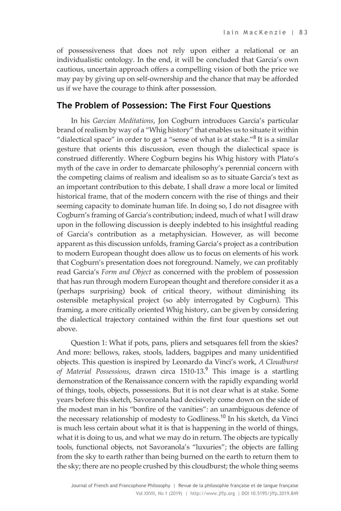of possessiveness that does not rely upon either a relational or an individualistic ontology. In the end, it will be concluded that Garcia's own cautious, uncertain approach offers a compelling vision of both the price we may pay by giving up on self-ownership and the chance that may be afforded us if we have the courage to think after possession.

#### **The Problem of Possession: The First Four Questions**

In his *Garcian Meditations*, Jon Cogburn introduces Garcia's particular brand of realism by way of a "Whig history" that enables us to situate it within "dialectical space" in order to get a "sense of what is at stake."<sup>8</sup> It is a similar gesture that orients this discussion, even though the dialectical space is construed differently. Where Cogburn begins his Whig history with Plato's myth of the cave in order to demarcate philosophy's perennial concern with the competing claims of realism and idealism so as to situate Garcia's text as an important contribution to this debate, I shall draw a more local or limited historical frame, that of the modern concern with the rise of things and their seeming capacity to dominate human life. In doing so, I do not disagree with Cogburn's framing of Garcia's contribution; indeed, much of what I will draw upon in the following discussion is deeply indebted to his insightful reading of Garcia's contribution as a metaphysician. However, as will become apparent as this discussion unfolds, framing Garcia's project as a contribution to modern European thought does allow us to focus on elements of his work that Cogburn's presentation does not foreground. Namely, we can profitably read Garcia's *Form and Object* as concerned with the problem of possession that has run through modern European thought and therefore consider it as a (perhaps surprising) book of critical theory, without diminishing its ostensible metaphysical project (so ably interrogated by Cogburn). This framing, a more critically oriented Whig history, can be given by considering the dialectical trajectory contained within the first four questions set out above.

Question 1: What if pots, pans, pliers and setsquares fell from the skies? And more: bellows, rakes, stools, ladders, bagpipes and many unidentified objects. This question is inspired by Leonardo da Vinci's work, *A Cloudburst of Material Possessions*, drawn circa 1510-13.<sup>9</sup> This image is a startling demonstration of the Renaissance concern with the rapidly expanding world of things, tools, objects, possessions. But it is not clear what is at stake. Some years before this sketch, Savoranola had decisively come down on the side of the modest man in his "bonfire of the vanities": an unambiguous defence of the necessary relationship of modesty to Godliness.<sup>10</sup> In his sketch, da Vinci is much less certain about what it is that is happening in the world of things, what it is doing to us, and what we may do in return. The objects are typically tools, functional objects, not Savoranola's "luxuries"; the objects are falling from the sky to earth rather than being burned on the earth to return them to the sky; there are no people crushed by this cloudburst; the whole thing seems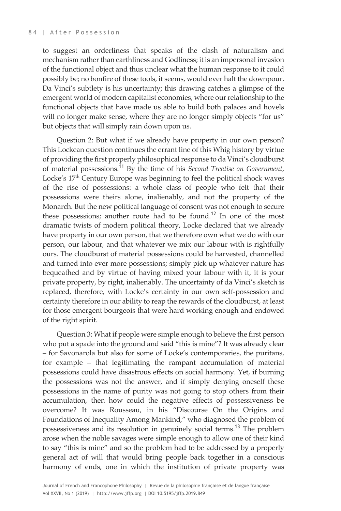to suggest an orderliness that speaks of the clash of naturalism and mechanism rather than earthliness and Godliness; it is an impersonal invasion of the functional object and thus unclear what the human response to it could possibly be; no bonfire of these tools, it seems, would ever halt the downpour. Da Vinci's subtlety is his uncertainty; this drawing catches a glimpse of the emergent world of modern capitalist economies, where our relationship to the functional objects that have made us able to build both palaces and hovels will no longer make sense, where they are no longer simply objects "for us" but objects that will simply rain down upon us.

Question 2: But what if we already have property in our own person? This Lockean question continues the errant line of this Whig history by virtue of providing the first properly philosophical response to da Vinci's cloudburst of material possessions.<sup>11</sup> By the time of his *Second Treatise on Government*, Locke's 17<sup>th</sup> Century Europe was beginning to feel the political shock waves of the rise of possessions: a whole class of people who felt that their possessions were theirs alone, inalienably, and not the property of the Monarch. But the new political language of consent was not enough to secure these possessions; another route had to be found.<sup>12</sup> In one of the most dramatic twists of modern political theory, Locke declared that we already have property in our own person, that we therefore own what we do with our person, our labour, and that whatever we mix our labour with is rightfully ours. The cloudburst of material possessions could be harvested, channelled and turned into ever more possessions; simply pick up whatever nature has bequeathed and by virtue of having mixed your labour with it, it is your private property, by right, inalienably. The uncertainty of da Vinci's sketch is replaced, therefore, with Locke's certainty in our own self-possession and certainty therefore in our ability to reap the rewards of the cloudburst, at least for those emergent bourgeois that were hard working enough and endowed of the right spirit.

Question 3: What if people were simple enough to believe the first person who put a spade into the ground and said "this is mine"? It was already clear – for Savonarola but also for some of Locke's contemporaries, the puritans, for example – that legitimating the rampant accumulation of material possessions could have disastrous effects on social harmony. Yet, if burning the possessions was not the answer, and if simply denying oneself these possessions in the name of purity was not going to stop others from their accumulation, then how could the negative effects of possessiveness be overcome? It was Rousseau, in his "Discourse On the Origins and Foundations of Inequality Among Mankind," who diagnosed the problem of possessiveness and its resolution in genuinely social terms.<sup>13</sup> The problem arose when the noble savages were simple enough to allow one of their kind to say "this is mine" and so the problem had to be addressed by a properly general act of will that would bring people back together in a conscious harmony of ends, one in which the institution of private property was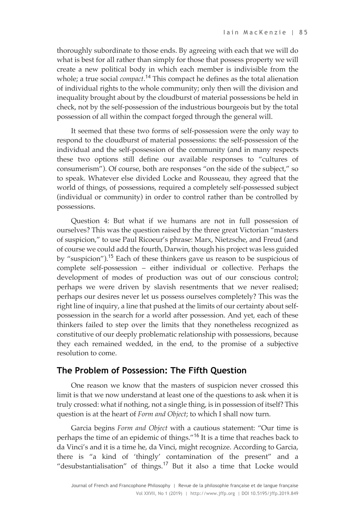thoroughly subordinate to those ends. By agreeing with each that we will do what is best for all rather than simply for those that possess property we will create a new political body in which each member is indivisible from the whole; a true social *compact*. <sup>14</sup> This compact he defines as the total alienation of individual rights to the whole community; only then will the division and inequality brought about by the cloudburst of material possessions be held in check, not by the self-possession of the industrious bourgeois but by the total possession of all within the compact forged through the general will.

It seemed that these two forms of self-possession were the only way to respond to the cloudburst of material possessions: the self-possession of the individual and the self-possession of the community (and in many respects these two options still define our available responses to "cultures of consumerism"). Of course, both are responses "on the side of the subject," so to speak. Whatever else divided Locke and Rousseau, they agreed that the world of things, of possessions, required a completely self-possessed subject (individual or community) in order to control rather than be controlled by possessions.

Question 4: But what if we humans are not in full possession of ourselves? This was the question raised by the three great Victorian "masters of suspicion," to use Paul Ricoeur's phrase: Marx, Nietzsche, and Freud (and of course we could add the fourth, Darwin, though his project was less guided by "suspicion").<sup>15</sup> Each of these thinkers gave us reason to be suspicious of complete self-possession – either individual or collective. Perhaps the development of modes of production was out of our conscious control; perhaps we were driven by slavish resentments that we never realised; perhaps our desires never let us possess ourselves completely? This was the right line of inquiry, a line that pushed at the limits of our certainty about selfpossession in the search for a world after possession. And yet, each of these thinkers failed to step over the limits that they nonetheless recognized as constitutive of our deeply problematic relationship with possessions, because they each remained wedded, in the end, to the promise of a subjective resolution to come.

#### **The Problem of Possession: The Fifth Question**

One reason we know that the masters of suspicion never crossed this limit is that we now understand at least one of the questions to ask when it is truly crossed: what if nothing, not a single thing, is in possession of itself? This question is at the heart of *Form and Object*; to which I shall now turn.

Garcia begins *Form and Object* with a cautious statement: "Our time is perhaps the time of an epidemic of things."<sup>16</sup> It is a time that reaches back to da Vinci's and it is a time he, da Vinci, might recognize. According to Garcia, there is "a kind of 'thingly' contamination of the present" and a "desubstantialisation" of things.<sup>17</sup> But it also a time that Locke would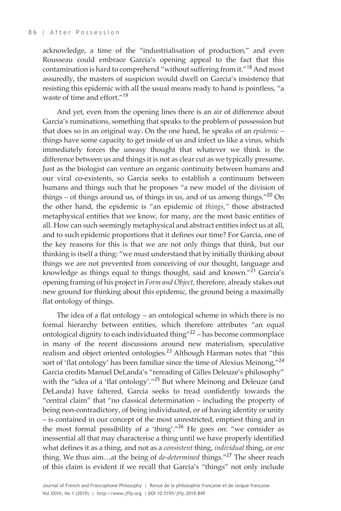acknowledge, a time of the "industrialisation of production," and even Rousseau could embrace Garcia's opening appeal to the fact that this contamination is hard to comprehend "without suffering from it."<sup>18</sup> And most assuredly, the masters of suspicion would dwell on Garcia's insistence that resisting this epidemic with all the usual means ready to hand is pointless, "a waste of time and effort."<sup>19</sup>

And yet, even from the opening lines there is an air of difference about Garcia's ruminations, something that speaks to the problem of possession but that does so in an original way. On the one hand, he speaks of an *epidemic* – things have some capacity to get inside of us and infect us like a virus, which immediately forces the uneasy thought that whatever we think is the difference between us and things it is not as clear cut as we typically presume. Just as the biologist can venture an organic continuity between humans and our viral co-existents, so Garcia seeks to establish a continuum between humans and things such that he proposes "a new model of the division of things – of things around us, of things in us, and of us among things."<sup>20</sup> On the other hand, the epidemic is "an epidemic of *things,"* those abstracted metaphysical entities that we know, for many, are the most basic entities of all. How can such seemingly metaphysical and abstract entities infect us at all, and to such epidemic proportions that it defines our time? For Garcia, one of the key reasons for this is that we are not only things that think, but our thinking is itself a thing: "we must understand that by initially thinking about things we are not prevented from conceiving of our thought, language and knowledge as things equal to things thought, said and known."<sup>21</sup> Garcia's opening framing of his project in *Form and Object*, therefore, already stakes out new ground for thinking about this epidemic, the ground being a maximally flat ontology of things.

The idea of a flat ontology – an ontological scheme in which there is no formal hierarchy between entities, which therefore attributes "an equal ontological dignity to each individuated thing"<sup>22</sup> – has become commonplace in many of the recent discussions around new materialism, speculative realism and object oriented ontologies.<sup>23</sup> Although Harman notes that "this sort of 'flat ontology' has been familiar since the time of Alexius Meinong,"<sup>24</sup> Garcia credits Manuel DeLanda's "rereading of Gilles Deleuze's philosophy" with the "idea of a 'flat ontology'."<sup>25</sup> But where Meinong and Deleuze (and DeLanda) have faltered, Garcia seeks to tread confidently towards the "central claim" that "no classical determination – including the property of being non-contradictory, of being individuated, or of having identity or unity – is contained in our concept of the most unrestricted, emptiest thing and in the most formal possibility of a 'thing'."<sup>26</sup> He goes on: "we consider as inessential all that may characterise a thing until we have properly identified what defines it as a thing, and not as a *consistent* thing, *individual* thing, or *one* thing. We thus aim...at the being of *de-determined* things."<sup>27</sup> The sheer reach of this claim is evident if we recall that Garcia's "things" not only include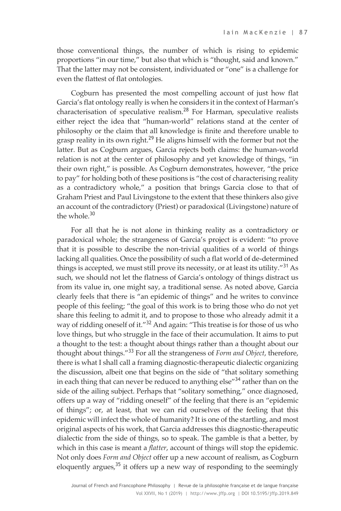those conventional things, the number of which is rising to epidemic proportions "in our time," but also that which is "thought, said and known." That the latter may not be consistent, individuated or "one" is a challenge for even the flattest of flat ontologies.

Cogburn has presented the most compelling account of just how flat Garcia's flat ontology really is when he considers it in the context of Harman's characterisation of speculative realism.<sup>28</sup> For Harman, speculative realists either reject the idea that "human-world" relations stand at the center of philosophy or the claim that all knowledge is finite and therefore unable to grasp reality in its own right.<sup>29</sup> He aligns himself with the former but not the latter. But as Cogburn argues, Garcia rejects both claims: the human-world relation is not at the center of philosophy and yet knowledge of things, "in their own right," is possible. As Cogburn demonstrates, however, "the price to pay" for holding both of these positions is "the cost of characterising reality as a contradictory whole," a position that brings Garcia close to that of Graham Priest and Paul Livingstone to the extent that these thinkers also give an account of the contradictory (Priest) or paradoxical (Livingstone) nature of the whole  $30$ 

For all that he is not alone in thinking reality as a contradictory or paradoxical whole; the strangeness of Garcia's project is evident: "to prove that it is possible to describe the non-trivial qualities of a world of things lacking all qualities. Once the possibility of such a flat world of de-determined things is accepted, we must still prove its necessity, or at least its utility."<sup>31</sup> As such, we should not let the flatness of Garcia's ontology of things distract us from its value in, one might say, a traditional sense. As noted above, Garcia clearly feels that there is "an epidemic of things" and he writes to convince people of this feeling; "the goal of this work is to bring those who do not yet share this feeling to admit it, and to propose to those who already admit it a way of ridding oneself of it."<sup>32</sup> And again: "This treatise is for those of us who love things, but who struggle in the face of their accumulation. It aims to put a thought to the test: a thought about things rather than a thought about our thought about things."<sup>33</sup> For all the strangeness of *Form and Object*, therefore, there is what I shall call a framing diagnostic-therapeutic dialectic organizing the discussion, albeit one that begins on the side of "that solitary something in each thing that can never be reduced to anything else"<sup>34</sup> rather than on the side of the ailing subject. Perhaps that "solitary something," once diagnosed, offers up a way of "ridding oneself" of the feeling that there is an "epidemic of things"; or, at least, that we can rid ourselves of the feeling that this epidemic will infect the whole of humanity? It is one of the startling, and most original aspects of his work, that Garcia addresses this diagnostic-therapeutic dialectic from the side of things, so to speak. The gamble is that a better, by which in this case is meant a *flatter*, account of things will stop the epidemic. Not only does *Form and Object* offer up a new account of realism, as Cogburn eloquently argues, $35$  it offers up a new way of responding to the seemingly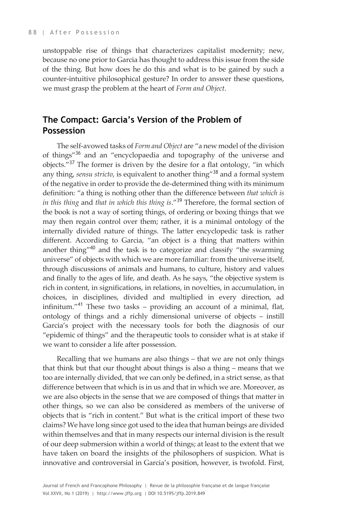unstoppable rise of things that characterizes capitalist modernity; new, because no one prior to Garcia has thought to address this issue from the side of the thing. But how does he do this and what is to be gained by such a counter-intuitive philosophical gesture? In order to answer these questions, we must grasp the problem at the heart of *Form and Object*.

### **The Compact: Garcia's Version of the Problem of Possession**

The self-avowed tasks of *Form and Object* are "a new model of the division of things"<sup>36</sup> and an "encyclopaedia and topography of the universe and objects."<sup>37</sup> The former is driven by the desire for a flat ontology, "in which any thing, *sensu stricto*, is equivalent to another thing"<sup>38</sup> and a formal system of the negative in order to provide the de-determined thing with its minimum definition: "a thing is nothing other than the difference between *that which is in this thing* and *that in which this thing is*."<sup>39</sup> Therefore, the formal section of the book is not a way of sorting things, of ordering or boxing things that we may then regain control over them; rather, it is a minimal ontology of the internally divided nature of things. The latter encyclopedic task is rather different. According to Garcia, "an object is a thing that matters within another thing"<sup>40</sup> and the task is to categorize and classify "the swarming universe" of objects with which we are more familiar: from the universe itself, through discussions of animals and humans, to culture, history and values and finally to the ages of life, and death. As he says, "the objective system is rich in content, in significations, in relations, in novelties, in accumulation, in choices, in disciplines, divided and multiplied in every direction, ad infinitum."<sup>41</sup> These two tasks – providing an account of a minimal, flat, ontology of things and a richly dimensional universe of objects – instill Garcia's project with the necessary tools for both the diagnosis of our "epidemic of things" and the therapeutic tools to consider what is at stake if we want to consider a life after possession.

Recalling that we humans are also things – that we are not only things that think but that our thought about things is also a thing – means that we too are internally divided, that we can only be defined, in a strict sense, as that difference between that which is in us and that in which we are. Moreover, as we are also objects in the sense that we are composed of things that matter in other things, so we can also be considered as members of the universe of objects that is "rich in content." But what is the critical import of these two claims? We have long since got used to the idea that human beings are divided within themselves and that in many respects our internal division is the result of our deep submersion within a world of things; at least to the extent that we have taken on board the insights of the philosophers of suspicion. What is innovative and controversial in Garcia's position, however, is twofold. First,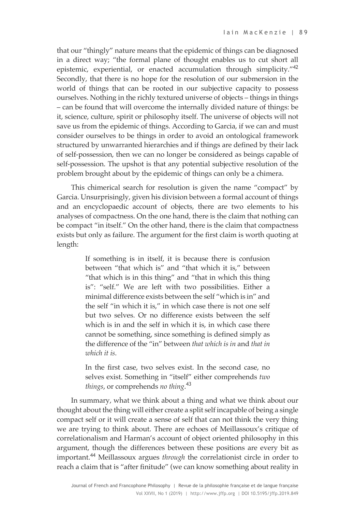that our "thingly" nature means that the epidemic of things can be diagnosed in a direct way; "the formal plane of thought enables us to cut short all epistemic, experiential, or enacted accumulation through simplicity."<sup>42</sup> Secondly, that there is no hope for the resolution of our submersion in the world of things that can be rooted in our subjective capacity to possess ourselves. Nothing in the richly textured universe of objects – things in things – can be found that will overcome the internally divided nature of things: be it, science, culture, spirit or philosophy itself. The universe of objects will not save us from the epidemic of things. According to Garcia, if we can and must consider ourselves to be things in order to avoid an ontological framework structured by unwarranted hierarchies and if things are defined by their lack of self-possession, then we can no longer be considered as beings capable of self-possession. The upshot is that any potential subjective resolution of the problem brought about by the epidemic of things can only be a chimera.

This chimerical search for resolution is given the name "compact" by Garcia. Unsurprisingly, given his division between a formal account of things and an encyclopaedic account of objects, there are two elements to his analyses of compactness. On the one hand, there is the claim that nothing can be compact "in itself." On the other hand, there is the claim that compactness exists but only as failure. The argument for the first claim is worth quoting at length:

> If something is in itself, it is because there is confusion between "that which is" and "that which it is," between "that which is in this thing" and "that in which this thing is": "self." We are left with two possibilities. Either a minimal difference exists between the self "which is in" and the self "in which it is," in which case there is not one self but two selves. Or no difference exists between the self which is in and the self in which it is, in which case there cannot be something, since something is defined simply as the difference of the "in" between *that which is in* and *that in which it is*.

> In the first case, two selves exist. In the second case, no selves exist. Something in "itself" either comprehends *two things*, or comprehends *no thing*. 43

In summary, what we think about a thing and what we think about our thought about the thing will either create a split self incapable of being a single compact self or it will create a sense of self that can not think the very thing we are trying to think about. There are echoes of Meillassoux's critique of correlationalism and Harman's account of object oriented philosophy in this argument, though the differences between these positions are every bit as important.<sup>44</sup> Meillassoux argues *through* the correlationist circle in order to reach a claim that is "after finitude" (we can know something about reality in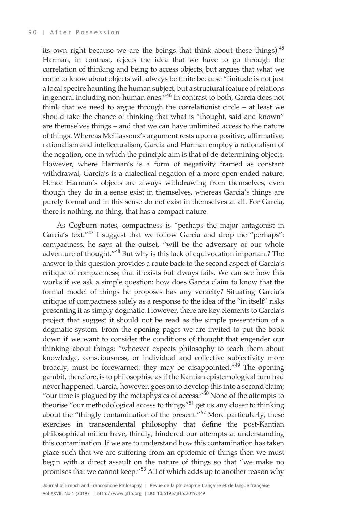its own right because we are the beings that think about these things).<sup>45</sup> Harman, in contrast, rejects the idea that we have to go through the correlation of thinking and being to access objects, but argues that what we come to know about objects will always be finite because "finitude is not just a local spectre haunting the human subject, but a structural feature of relations in general including non-human ones."<sup>46</sup> In contrast to both, Garcia does not think that we need to argue through the correlationist circle – at least we should take the chance of thinking that what is "thought, said and known" are themselves things – and that we can have unlimited access to the nature of things. Whereas Meillassoux's argument rests upon a positive, affirmative, rationalism and intellectualism, Garcia and Harman employ a rationalism of the negation, one in which the principle aim is that of de-determining objects. However, where Harman's is a form of negativity framed as constant withdrawal, Garcia's is a dialectical negation of a more open-ended nature. Hence Harman's objects are always withdrawing from themselves, even though they do in a sense exist in themselves, whereas Garcia's things are purely formal and in this sense do not exist in themselves at all. For Garcia, there is nothing, no thing, that has a compact nature.

As Cogburn notes, compactness is "perhaps the major antagonist in Garcia's text."<sup>47</sup> I suggest that we follow Garcia and drop the "perhaps": compactness, he says at the outset, "will be the adversary of our whole adventure of thought."<sup>48</sup> But why is this lack of equivocation important? The answer to this question provides a route back to the second aspect of Garcia's critique of compactness; that it exists but always fails. We can see how this works if we ask a simple question: how does Garcia claim to know that the formal model of things he proposes has any veracity? Situating Garcia's critique of compactness solely as a response to the idea of the "in itself" risks presenting it as simply dogmatic. However, there are key elements to Garcia's project that suggest it should not be read as the simple presentation of a dogmatic system. From the opening pages we are invited to put the book down if we want to consider the conditions of thought that engender our thinking about things: "whoever expects philosophy to teach them about knowledge, consciousness, or individual and collective subjectivity more broadly, must be forewarned: they may be disappointed."<sup>49</sup> The opening gambit, therefore, is to philosophise as if the Kantian epistemological turn had never happened. Garcia, however, goes on to develop this into a second claim; "our time is plagued by the metaphysics of access." $50$  None of the attempts to theorise "our methodological access to things"<sup>51</sup> get us any closer to thinking about the "thingly contamination of the present."<sup>52</sup> More particularly, these exercises in transcendental philosophy that define the post-Kantian philosophical milieu have, thirdly, hindered our attempts at understanding this contamination. If we are to understand how this contamination has taken place such that we are suffering from an epidemic of things then we must begin with a direct assault on the nature of things so that "we make no promises that we cannot keep."<sup>53</sup> All of which adds up to another reason why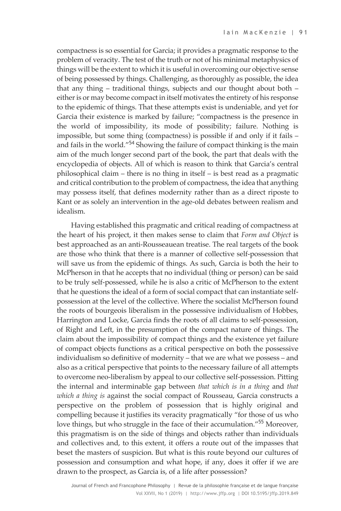compactness is so essential for Garcia; it provides a pragmatic response to the problem of veracity. The test of the truth or not of his minimal metaphysics of things will be the extent to which it is useful in overcoming our objective sense of being possessed by things. Challenging, as thoroughly as possible, the idea that any thing – traditional things, subjects and our thought about both – either is or may become compact in itself motivates the entirety of his response to the epidemic of things. That these attempts exist is undeniable, and yet for Garcia their existence is marked by failure; "compactness is the presence in the world of impossibility, its mode of possibility; failure. Nothing is impossible, but some thing (compactness) is possible if and only if it fails – and fails in the world."<sup>54</sup> Showing the failure of compact thinking is the main aim of the much longer second part of the book, the part that deals with the encyclopedia of objects. All of which is reason to think that Garcia's central philosophical claim – there is no thing in itself – is best read as a pragmatic and critical contribution to the problem of compactness, the idea that anything may possess itself, that defines modernity rather than as a direct riposte to Kant or as solely an intervention in the age-old debates between realism and idealism.

Having established this pragmatic and critical reading of compactness at the heart of his project, it then makes sense to claim that *Form and Object* is best approached as an anti-Rousseauean treatise. The real targets of the book are those who think that there is a manner of collective self-possession that will save us from the epidemic of things. As such, Garcia is both the heir to McPherson in that he accepts that no individual (thing or person) can be said to be truly self-possessed, while he is also a critic of McPherson to the extent that he questions the ideal of a form of social compact that can instantiate selfpossession at the level of the collective. Where the socialist McPherson found the roots of bourgeois liberalism in the possessive individualism of Hobbes, Harrington and Locke, Garcia finds the roots of all claims to self-possession, of Right and Left, in the presumption of the compact nature of things. The claim about the impossibility of compact things and the existence yet failure of compact objects functions as a critical perspective on both the possessive individualism so definitive of modernity – that we are what we possess – and also as a critical perspective that points to the necessary failure of all attempts to overcome neo-liberalism by appeal to our collective self-possession. Pitting the internal and interminable gap between *that which is in a thing* and *that which a thing is* against the social compact of Rousseau, Garcia constructs a perspective on the problem of possession that is highly original and compelling because it justifies its veracity pragmatically "for those of us who love things, but who struggle in the face of their accumulation."<sup>55</sup> Moreover, this pragmatism is on the side of things and objects rather than individuals and collectives and, to this extent, it offers a route out of the impasses that beset the masters of suspicion. But what is this route beyond our cultures of possession and consumption and what hope, if any, does it offer if we are drawn to the prospect, as Garcia is, of a life after possession?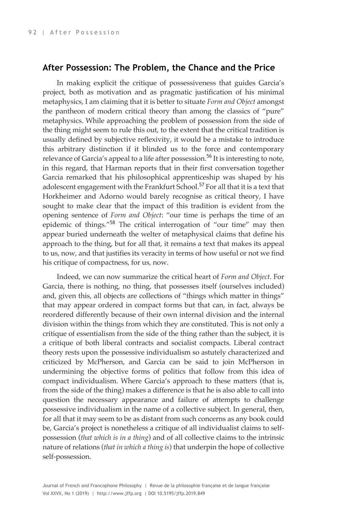#### **After Possession: The Problem, the Chance and the Price**

In making explicit the critique of possessiveness that guides Garcia's project, both as motivation and as pragmatic justification of his minimal metaphysics, I am claiming that it is better to situate *Form and Object* amongst the pantheon of modern critical theory than among the classics of "pure" metaphysics. While approaching the problem of possession from the side of the thing might seem to rule this out, to the extent that the critical tradition is usually defined by subjective reflexivity, it would be a mistake to introduce this arbitrary distinction if it blinded us to the force and contemporary relevance of Garcia's appeal to a life after possession.<sup>56</sup> It is interesting to note, in this regard, that Harman reports that in their first conversation together Garcia remarked that his philosophical apprenticeship was shaped by his adolescent engagement with the Frankfurt School.<sup>57</sup> For all that it is a text that Horkheimer and Adorno would barely recognise as critical theory, I have sought to make clear that the impact of this tradition is evident from the opening sentence of *Form and Object*: "our time is perhaps the time of an epidemic of things."<sup>58</sup> The critical interrogation of "our time" may then appear buried underneath the welter of metaphysical claims that define his approach to the thing, but for all that, it remains a text that makes its appeal to us, now, and that justifies its veracity in terms of how useful or not we find his critique of compactness, for us, now.

Indeed, we can now summarize the critical heart of *Form and Object*. For Garcia, there is nothing, no thing, that possesses itself (ourselves included) and, given this, all objects are collections of "things which matter in things" that may appear ordered in compact forms but that can, in fact, always be reordered differently because of their own internal division and the internal division within the things from which they are constituted. This is not only a critique of essentialism from the side of the thing rather than the subject, it is a critique of both liberal contracts and socialist compacts. Liberal contract theory rests upon the possessive individualism so astutely characterized and criticized by McPherson, and Garcia can be said to join McPherson in undermining the objective forms of politics that follow from this idea of compact individualism. Where Garcia's approach to these matters (that is, from the side of the thing) makes a difference is that he is also able to call into question the necessary appearance and failure of attempts to challenge possessive individualism in the name of a collective subject. In general, then, for all that it may seem to be as distant from such concerns as any book could be, Garcia's project is nonetheless a critique of all individualist claims to selfpossession (*that which is in a thing*) and of all collective claims to the intrinsic nature of relations (*that in which a thing is*) that underpin the hope of collective self-possession.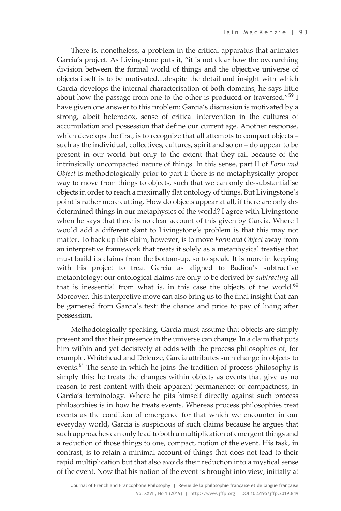There is, nonetheless, a problem in the critical apparatus that animates Garcia's project. As Livingstone puts it, "it is not clear how the overarching division between the formal world of things and the objective universe of objects itself is to be motivated…despite the detail and insight with which Garcia develops the internal characterisation of both domains, he says little about how the passage from one to the other is produced or traversed."<sup>59</sup> I have given one answer to this problem: Garcia's discussion is motivated by a strong, albeit heterodox, sense of critical intervention in the cultures of accumulation and possession that define our current age. Another response, which develops the first, is to recognize that all attempts to compact objects – such as the individual, collectives, cultures, spirit and so on – do appear to be present in our world but only to the extent that they fail because of the intrinsically uncompacted nature of things. In this sense, part II of *Form and Object* is methodologically prior to part I: there is no metaphysically proper way to move from things to objects, such that we can only de-substantialise objects in order to reach a maximally flat ontology of things. But Livingstone's point is rather more cutting. How do objects appear at all, if there are only dedetermined things in our metaphysics of the world? I agree with Livingstone when he says that there is no clear account of this given by Garcia. Where I would add a different slant to Livingstone's problem is that this may not matter. To back up this claim, however, is to move *Form and Object* away from an interpretive framework that treats it solely as a metaphysical treatise that must build its claims from the bottom-up, so to speak. It is more in keeping with his project to treat Garcia as aligned to Badiou's subtractive metaontology: our ontological claims are only to be derived by *subtracting* all that is inessential from what is, in this case the objects of the world. $60$ Moreover, this interpretive move can also bring us to the final insight that can be garnered from Garcia's text: the chance and price to pay of living after possession.

Methodologically speaking, Garcia must assume that objects are simply present and that their presence in the universe can change. In a claim that puts him within and yet decisively at odds with the process philosophies of, for example, Whitehead and Deleuze, Garcia attributes such change in objects to events.<sup>61</sup> The sense in which he joins the tradition of process philosophy is simply this: he treats the changes within objects as events that give us no reason to rest content with their apparent permanence; or compactness, in Garcia's terminology. Where he pits himself directly against such process philosophies is in how he treats events. Whereas process philosophies treat events as the condition of emergence for that which we encounter in our everyday world, Garcia is suspicious of such claims because he argues that such approaches can only lead to both a multiplication of emergent things and a reduction of those things to one, compact, notion of the event. His task, in contrast, is to retain a minimal account of things that does not lead to their rapid multiplication but that also avoids their reduction into a mystical sense of the event. Now that his notion of the event is brought into view, initially at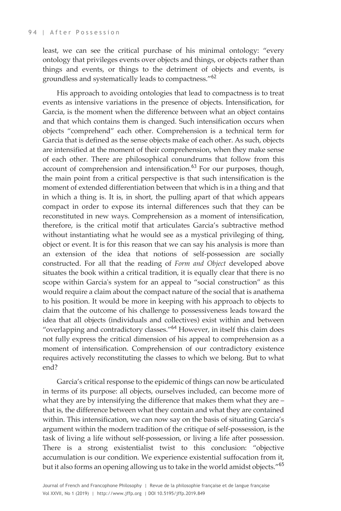least, we can see the critical purchase of his minimal ontology: "every ontology that privileges events over objects and things, or objects rather than things and events, or things to the detriment of objects and events, is groundless and systematically leads to compactness."<sup>62</sup>

His approach to avoiding ontologies that lead to compactness is to treat events as intensive variations in the presence of objects. Intensification, for Garcia, is the moment when the difference between what an object contains and that which contains them is changed. Such intensification occurs when objects "comprehend" each other. Comprehension is a technical term for Garcia that is defined as the sense objects make of each other. As such, objects are intensified at the moment of their comprehension, when they make sense of each other. There are philosophical conundrums that follow from this account of comprehension and intensification. $^{63}$  For our purposes, though, the main point from a critical perspective is that such intensification is the moment of extended differentiation between that which is in a thing and that in which a thing is. It is, in short, the pulling apart of that which appears compact in order to expose its internal differences such that they can be reconstituted in new ways. Comprehension as a moment of intensification, therefore, is the critical motif that articulates Garcia's subtractive method without instantiating what he would see as a mystical privileging of thing, object or event. It is for this reason that we can say his analysis is more than an extension of the idea that notions of self-possession are socially constructed. For all that the reading of *Form and Object* developed above situates the book within a critical tradition, it is equally clear that there is no scope within Garcia's system for an appeal to "social construction" as this would require a claim about the compact nature of the social that is anathema to his position. It would be more in keeping with his approach to objects to claim that the outcome of his challenge to possessiveness leads toward the idea that all objects (individuals and collectives) exist within and between "overlapping and contradictory classes."<sup>64</sup> However, in itself this claim does not fully express the critical dimension of his appeal to comprehension as a moment of intensification. Comprehension of our contradictory existence requires actively reconstituting the classes to which we belong. But to what end?

Garcia's critical response to the epidemic of things can now be articulated in terms of its purpose: all objects, ourselves included, can become more of what they are by intensifying the difference that makes them what they are – that is, the difference between what they contain and what they are contained within. This intensification, we can now say on the basis of situating Garcia's argument within the modern tradition of the critique of self-possession, is the task of living a life without self-possession, or living a life after possession. There is a strong existentialist twist to this conclusion: "objective accumulation is our condition. We experience existential suffocation from it, but it also forms an opening allowing us to take in the world amidst objects."<sup>65</sup>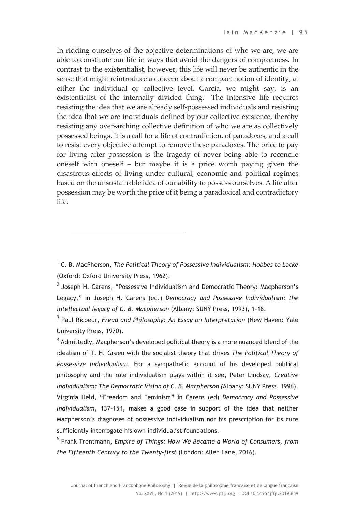In ridding ourselves of the objective determinations of who we are, we are able to constitute our life in ways that avoid the dangers of compactness. In contrast to the existentialist, however, this life will never be authentic in the sense that might reintroduce a concern about a compact notion of identity, at either the individual or collective level. Garcia, we might say, is an existentialist of the internally divided thing. The intensive life requires resisting the idea that we are already self-possessed individuals and resisting the idea that we are individuals defined by our collective existence, thereby resisting any over-arching collective definition of who we are as collectively possessed beings. It is a call for a life of contradiction, of paradoxes, and a call to resist every objective attempt to remove these paradoxes. The price to pay for living after possession is the tragedy of never being able to reconcile oneself with oneself – but maybe it is a price worth paying given the disastrous effects of living under cultural, economic and political regimes based on the unsustainable idea of our ability to possess ourselves. A life after possession may be worth the price of it being a paradoxical and contradictory life.

<sup>1</sup> C. B. MacPherson, *The Political Theory of Possessive Individualism: Hobbes to Locke* (Oxford: Oxford University Press, 1962).

 $\overline{a}$ 

 $<sup>2</sup>$  Joseph H. Carens, "Possessive Individualism and Democratic Theory: Macpherson's</sup> Legacy," in Joseph H. Carens (ed.) *Democracy and Possessive Individualism: the intellectual legacy of C. B. Macpherson* (Albany: SUNY Press, 1993), 1-18.

<sup>3</sup> Paul Ricoeur, *Freud and Philosophy: An Essay on Interpretation* (New Haven: Yale University Press, 1970).

 $4$  Admittedly, Macpherson's developed political theory is a more nuanced blend of the idealism of T. H. Green with the socialist theory that drives *The Political Theory of Possessive Individualism*. For a sympathetic account of his developed political philosophy and the role individualism plays within it see, Peter Lindsay, *Creative Individualism: The Democratic Vision of C. B. Macpherson (*Albany: SUNY Press, 1996). Virginia Held, "Freedom and Feminism" in Carens (ed) *Democracy and Possessive Individualism*, 137–154, makes a good case in support of the idea that neither Macpherson's diagnoses of possessive individualism nor his prescription for its cure sufficiently interrogate his own individualist foundations.

<sup>5</sup> Frank Trentmann, *Empire of Things: How We Became a World of Consumers, from the Fifteenth Century to the Twenty-first* (London: Allen Lane, 2016).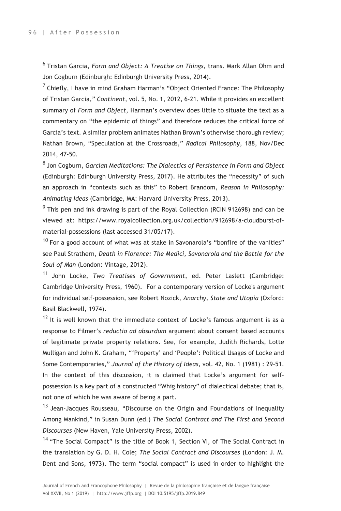<sup>6</sup> Tristan Garcia, *Form and Object: A Treatise on Things*, trans. Mark Allan Ohm and Jon Cogburn (Edinburgh: Edinburgh University Press, 2014).

<sup>7</sup> Chiefly, I have in mind Graham Harman's "Object Oriented France: The Philosophy of Tristan Garcia," *Continent*, vol. 5, No. 1, 2012, 6-21. While it provides an excellent summary of *Form and Object*, Harman's overview does little to situate the text as a commentary on "the epidemic of things" and therefore reduces the critical force of Garcia's text. A similar problem animates Nathan Brown's otherwise thorough review; Nathan Brown, "Speculation at the Crossroads," *Radical Philosophy*, 188, Nov/Dec 2014, 47-50.

<sup>8</sup> Jon Cogburn, *Garcian Meditations: The Dialectics of Persistence in Form and Object* (Edinburgh: Edinburgh University Press, 2017). He attributes the "necessity" of such an approach in "contexts such as this" to Robert Brandom, *Reason in Philosophy: Animating Ideas* (Cambridge, MA: Harvard University Press, 2013).

 $9$  This pen and ink drawing is part of the Royal Collection (RCIN 912698) and can be viewed at: https://www.royalcollection.org.uk/collection/912698/a-cloudburst-ofmaterial-possessions (last accessed 31/05/17).

 $10$  For a good account of what was at stake in Savonarola's "bonfire of the vanities" see Paul Strathern, *Death in Florence: The Medici, Savonarola and the Battle for the Soul of Man* (London: Vintage, 2012).

<sup>11</sup> John Locke, *Two Treatises of Government*, ed. Peter Laslett (Cambridge: Cambridge University Press, 1960). For a contemporary version of Locke's argument for individual self-possession, see Robert Nozick, *Anarchy, State and Utopia* (Oxford: Basil Blackwell, 1974).

 $12$  It is well known that the immediate context of Locke's famous argument is as a response to Filmer's *reductio ad absurdum* argument about consent based accounts of legitimate private property relations. See, for example, Judith Richards, Lotte Mulligan and John K. Graham, "'Property' and 'People': Political Usages of Locke and Some Contemporaries," *Journal of the History of Ideas*, vol. 42, No. 1 (1981) : 29-51. In the context of this discussion, it is claimed that Locke's argument for selfpossession is a key part of a constructed "Whig history" of dialectical debate; that is, not one of which he was aware of being a part.

 $13$  Jean-Jacques Rousseau, "Discourse on the Origin and Foundations of Inequality Among Mankind," in Susan Dunn (ed.) *The Social Contract and The First and Second Discourses* (New Haven, Yale University Press, 2002).

<sup>14</sup> "The Social Compact" is the title of Book 1, Section VI, of The Social Contract in the translation by G. D. H. Cole; *The Social Contract and Discourses* (London: J. M. Dent and Sons, 1973). The term "social compact" is used in order to highlight the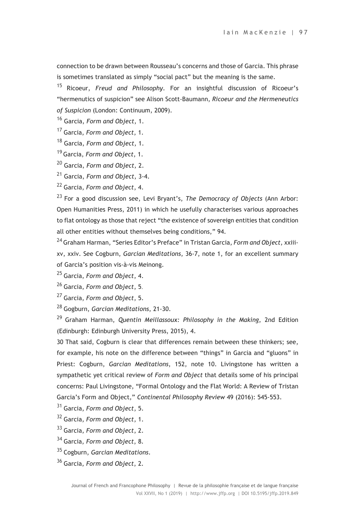connection to be drawn between Rousseau's concerns and those of Garcia. This phrase is sometimes translated as simply "social pact" but the meaning is the same.

<sup>15</sup> Ricoeur, *Freud and Philosophy*. For an insightful discussion of Ricoeur's "hermenutics of suspicion" see Alison Scott-Baumann, *Ricoeur and the Hermeneutics of Suspicion* (London: Continuum, 2009).

<sup>16</sup> Garcia, *Form and Object*, 1.

<sup>17</sup> Garcia, *Form and Object*, 1.

<sup>18</sup> Garcia, *Form and Object*, 1.

<sup>19</sup> Garcia, *Form and Object*, 1.

<sup>20</sup> Garcia, *Form and Object*, 2.

<sup>21</sup> Garcia, *Form and Object*, 3-4.

<sup>22</sup> Garcia, *Form and Object*, 4.

<sup>23</sup> For a good discussion see, Levi Bryant's, *The Democracy of Objects* (Ann Arbor: Open Humanities Press, 2011) in which he usefully characterises various approaches to flat ontology as those that reject "the existence of sovereign entities that condition all other entities without themselves being conditions," 94.

<sup>24</sup> Graham Harman, "Series Editor's Preface" in Tristan Garcia, *Form and Object*, xxiiixv, xxiv. See Cogburn, *Garcian Meditations*, 36-7, note 1, for an excellent summary of Garcia's position vis-à-vis Meinong.

<sup>25</sup> Garcia, *Form and Object*, 4.

<sup>26</sup> Garcia, *Form and Object*, 5.

<sup>27</sup> Garcia, *Form and Object*, 5.

<sup>28</sup> Gogburn, *Garcian Meditations*, 21-30.

<sup>29</sup> Graham Harman, *Quentin Meillassoux: Philosophy in the Making*, 2nd Edition (Edinburgh: Edinburgh University Press, 2015), 4.

30 That said, Cogburn is clear that differences remain between these thinkers; see, for example, his note on the difference between "things" in Garcia and "gluons" in Priest: Cogburn, *Garcian Meditations*, 152, note 10. Livingstone has written a sympathetic yet critical review of *Form and Object* that details some of his principal concerns: Paul Livingstone, "Formal Ontology and the Flat World: A Review of Tristan Garcia's Form and Object," *Continental Philosophy Review* 49 (2016): 545-553.

<sup>31</sup> Garcia, *Form and Object*, 5.

<sup>32</sup> Garcia, *Form and Object*, 1.

<sup>33</sup> Garcia, *Form and Object*, 2.

<sup>34</sup> Garcia, *Form and Object*, 8.

<sup>35</sup> Cogburn, *Garcian Meditations*.

<sup>36</sup> Garcia, *Form and Object*, 2.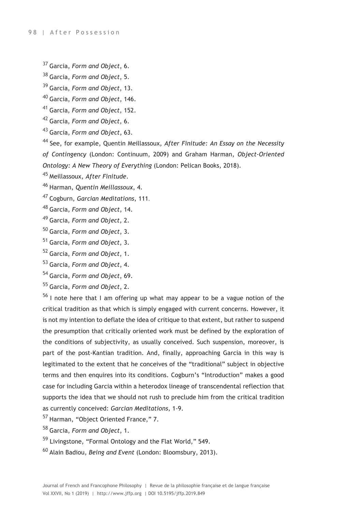<sup>37</sup> Garcia, *Form and Object*, 6.

<sup>38</sup> Garcia, *Form and Object*, 5.

<sup>39</sup> Garcia, *Form and Object*, 13.

<sup>40</sup> Garcia, *Form and Object*, 146.

<sup>41</sup> Garcia, *Form and Object*, 152.

<sup>42</sup> Garcia, *Form and Object*, 6.

<sup>43</sup> Garcia, *Form and Object*, 63.

<sup>44</sup> See, for example, Quentin Meillassoux, *After Finitude: An Essay on the Necessity of Contingency* (London: Continuum, 2009) and Graham Harman, *Object-Oriented Ontology: A New Theory of Everything* (London: Pelican Books, 2018).

<sup>45</sup> Meillassoux, *After Finitude*.

<sup>46</sup> Harman, *Quentin Meillassoux*, 4.

<sup>47</sup> Cogburn, *Garcian Meditations*, 111.

<sup>48</sup> Garcia, *Form and Object*, 14.

<sup>49</sup> Garcia, *Form and Object*, 2.

<sup>50</sup> Garcia, *Form and Object*, 3.

- <sup>51</sup> Garcia, *Form and Object*, 3.
- <sup>52</sup> Garcia, *Form and Object*, 1.
- <sup>53</sup> Garcia, *Form and Object*, 4.

<sup>54</sup> Garcia, *Form and Object*, 69.

<sup>55</sup> Garcia, *Form and Object*, 2.

 $56$  I note here that I am offering up what may appear to be a vague notion of the critical tradition as that which is simply engaged with current concerns. However, it is not my intention to deflate the idea of critique to that extent, but rather to suspend the presumption that critically oriented work must be defined by the exploration of the conditions of subjectivity, as usually conceived. Such suspension, moreover, is part of the post-Kantian tradition. And, finally, approaching Garcia in this way is legitimated to the extent that he conceives of the "traditional" subject in objective terms and then enquires into its conditions. Cogburn's "Introduction" makes a good case for including Garcia within a heterodox lineage of transcendental reflection that supports the idea that we should not rush to preclude him from the critical tradition as currently conceived: *Garcian Meditations*, 1-9.

- <sup>57</sup> Harman, "Object Oriented France," 7.
- <sup>58</sup> Garcia, *Form and Object*, 1.
- <sup>59</sup> Livingstone, "Formal Ontology and the Flat World," 549.
- <sup>60</sup> Alain Badiou, *Being and Event* (London: Bloomsbury, 2013).